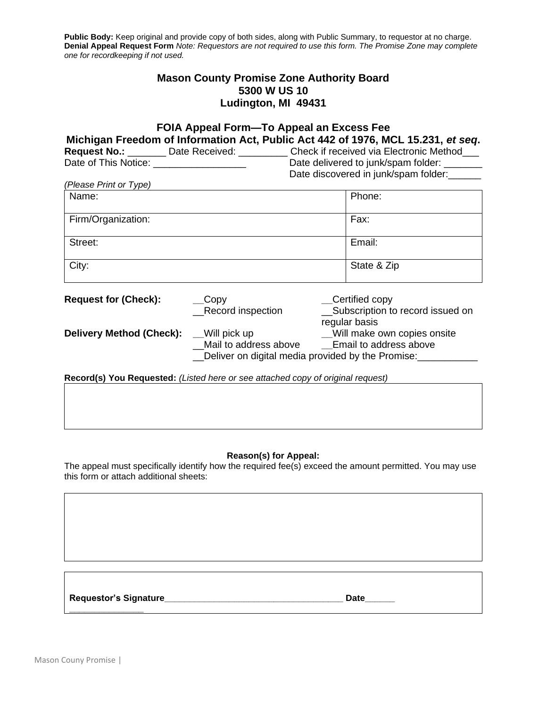Public Body: Keep original and provide copy of both sides, along with Public Summary, to requestor at no charge. **Denial Appeal Request Form** *Note: Requestors are not required to use this form. The Promise Zone may complete one for recordkeeping if not used.*

# **Mason County Promise Zone Authority Board 5300 W US 10 Ludington, MI 49431**

| FOIA Appeal Form-To Appeal an Excess Fee                                                 |                                                        |                                     |                                      |  |  |
|------------------------------------------------------------------------------------------|--------------------------------------------------------|-------------------------------------|--------------------------------------|--|--|
| Michigan Freedom of Information Act, Public Act 442 of 1976, MCL 15.231, et seq.         |                                                        |                                     |                                      |  |  |
| Request No.: _______ Date Received: _________ Check if received via Electronic Method___ |                                                        |                                     |                                      |  |  |
|                                                                                          |                                                        | Date delivered to junk/spam folder: |                                      |  |  |
|                                                                                          |                                                        |                                     | Date discovered in junk/spam folder: |  |  |
| (Please Print or Type)                                                                   |                                                        |                                     |                                      |  |  |
| Name:                                                                                    |                                                        | Phone:                              |                                      |  |  |
| Firm/Organization:                                                                       |                                                        | Fax:                                |                                      |  |  |
| Street:                                                                                  |                                                        | Email:                              |                                      |  |  |
| City:                                                                                    |                                                        | State & Zip                         |                                      |  |  |
| <b>Request for (Check):</b>                                                              | $\sqrt{\frac{1}{2}}$ Copy                              | __Certified copy                    |                                      |  |  |
|                                                                                          | Record inspection                                      | regular basis                       | Subscription to record issued on     |  |  |
| <b>Delivery Method (Check):</b> Will pick up                                             |                                                        | Will make own copies onsite         |                                      |  |  |
|                                                                                          | Mail to address above<br><u>Fmail</u> to address above |                                     |                                      |  |  |
| Deliver on digital media provided by the Promise:                                        |                                                        |                                     |                                      |  |  |
|                                                                                          |                                                        |                                     |                                      |  |  |
| Record(s) You Requested: (Listed here or see attached copy of original request)          |                                                        |                                     |                                      |  |  |
|                                                                                          |                                                        |                                     |                                      |  |  |

## **Reason(s) for Appeal:**

The appeal must specifically identify how the required fee(s) exceed the amount permitted. You may use this form or attach additional sheets:

**Requestor's Signature\_\_\_\_\_\_\_\_\_\_\_\_\_\_\_\_\_\_\_\_\_\_\_\_\_\_\_\_\_\_\_\_\_\_\_\_ Date\_\_\_\_\_\_**

**\_\_\_\_\_\_\_\_\_\_\_\_\_\_\_**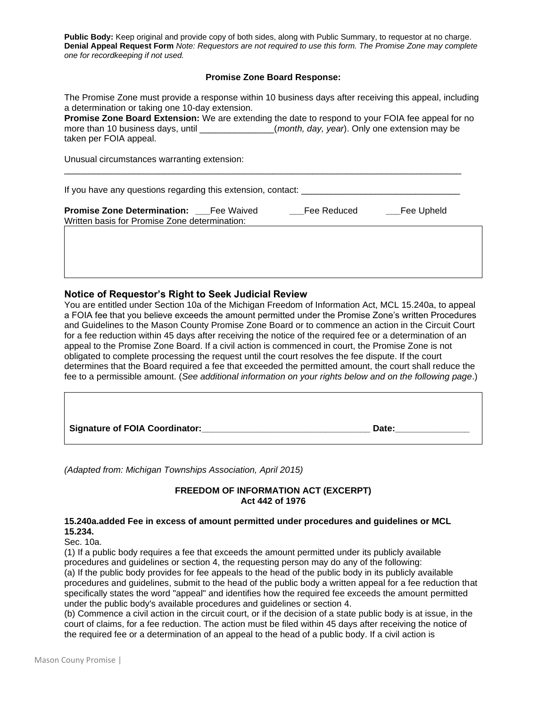**Public Body:** Keep original and provide copy of both sides, along with Public Summary, to requestor at no charge. **Denial Appeal Request Form** *Note: Requestors are not required to use this form. The Promise Zone may complete one for recordkeeping if not used.*

### **Promise Zone Board Response:**

The Promise Zone must provide a response within 10 business days after receiving this appeal, including a determination or taking one 10-day extension.

**Promise Zone Board Extension:** We are extending the date to respond to your FOIA fee appeal for no more than 10 business days, until \_\_\_\_\_\_\_\_\_\_\_\_\_\_\_\_\_(*month, day, year*). Only one extension may be taken per FOIA appeal.

Unusual circumstances warranting extension:

If you have any questions regarding this extension, contact: \_\_\_\_\_\_\_\_\_\_\_\_\_\_\_\_\_\_\_\_\_\_\_\_\_\_\_\_\_\_\_\_

\_\_\_\_\_\_\_\_\_\_\_\_\_\_\_\_\_\_\_\_\_\_\_\_\_\_\_\_\_\_\_\_\_\_\_\_\_\_\_\_\_\_\_\_\_\_\_\_\_\_\_\_\_\_\_\_\_\_\_\_\_\_\_\_\_\_\_\_\_\_\_\_\_\_\_\_\_\_\_\_

| <b>Promise Zone Determination:</b>            | Fee Waived | Fee Reduced | ___Fee Upheld |
|-----------------------------------------------|------------|-------------|---------------|
| Written basis for Promise Zone determination: |            |             |               |

### **Notice of Requestor's Right to Seek Judicial Review**

You are entitled under Section 10a of the Michigan Freedom of Information Act, MCL 15.240a, to appeal a FOIA fee that you believe exceeds the amount permitted under the Promise Zone's written Procedures and Guidelines to the Mason County Promise Zone Board or to commence an action in the Circuit Court for a fee reduction within 45 days after receiving the notice of the required fee or a determination of an appeal to the Promise Zone Board. If a civil action is commenced in court, the Promise Zone is not obligated to complete processing the request until the court resolves the fee dispute. If the court determines that the Board required a fee that exceeded the permitted amount, the court shall reduce the fee to a permissible amount. (*See additional information on your rights below and on the following page*.)

| <b>Signature of FOIA Coordinator:</b> | Date: |
|---------------------------------------|-------|

*(Adapted from: Michigan Townships Association, April 2015)* 

## **FREEDOM OF INFORMATION ACT (EXCERPT) Act 442 of 1976**

#### **15.240a.added Fee in excess of amount permitted under procedures and guidelines or MCL 15.234.**

Sec. 10a.

(1) If a public body requires a fee that exceeds the amount permitted under its publicly available procedures and guidelines or section 4, the requesting person may do any of the following: (a) If the public body provides for fee appeals to the head of the public body in its publicly available procedures and guidelines, submit to the head of the public body a written appeal for a fee reduction that specifically states the word "appeal" and identifies how the required fee exceeds the amount permitted under the public body's available procedures and guidelines or section 4.

(b) Commence a civil action in the circuit court, or if the decision of a state public body is at issue, in the court of claims, for a fee reduction. The action must be filed within 45 days after receiving the notice of the required fee or a determination of an appeal to the head of a public body. If a civil action is